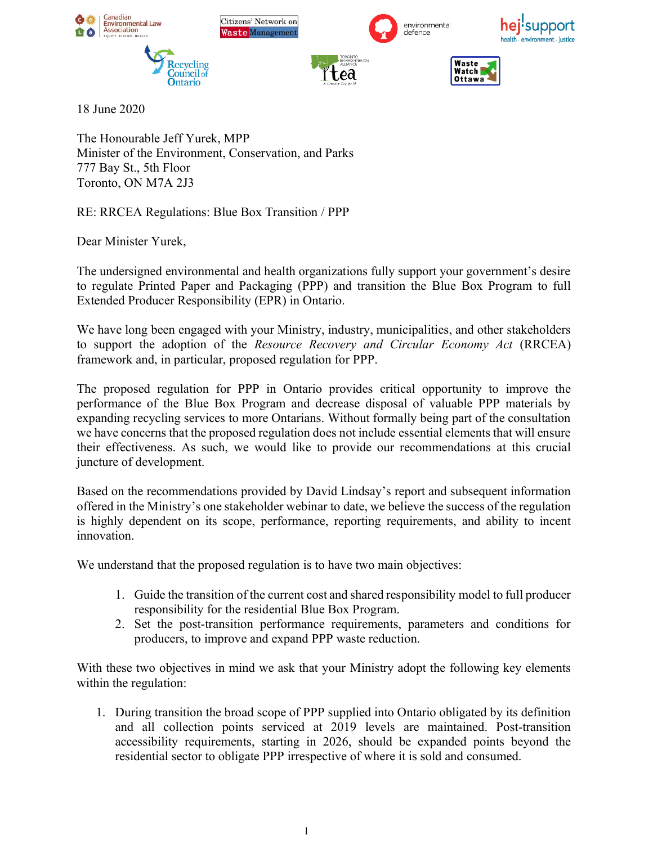

18 June 2020

The Honourable Jeff Yurek, MPP Minister of the Environment, Conservation, and Parks 777 Bay St., 5th Floor Toronto, ON M7A 2J3

RE: RRCEA Regulations: Blue Box Transition / PPP

Dear Minister Yurek,

The undersigned environmental and health organizations fully support your government's desire to regulate Printed Paper and Packaging (PPP) and transition the Blue Box Program to full Extended Producer Responsibility (EPR) in Ontario.

We have long been engaged with your Ministry, industry, municipalities, and other stakeholders to support the adoption of the *Resource Recovery and Circular Economy Act* (RRCEA) framework and, in particular, proposed regulation for PPP.

The proposed regulation for PPP in Ontario provides critical opportunity to improve the performance of the Blue Box Program and decrease disposal of valuable PPP materials by expanding recycling services to more Ontarians. Without formally being part of the consultation we have concerns that the proposed regulation does not include essential elements that will ensure their effectiveness. As such, we would like to provide our recommendations at this crucial juncture of development.

Based on the recommendations provided by David Lindsay's report and subsequent information offered in the Ministry's one stakeholder webinar to date, we believe the success of the regulation is highly dependent on its scope, performance, reporting requirements, and ability to incent innovation.

We understand that the proposed regulation is to have two main objectives:

- 1. Guide the transition of the current cost and shared responsibility model to full producer responsibility for the residential Blue Box Program.
- 2. Set the post-transition performance requirements, parameters and conditions for producers, to improve and expand PPP waste reduction.

With these two objectives in mind we ask that your Ministry adopt the following key elements within the regulation:

1. During transition the broad scope of PPP supplied into Ontario obligated by its definition and all collection points serviced at 2019 levels are maintained. Post-transition accessibility requirements, starting in 2026, should be expanded points beyond the residential sector to obligate PPP irrespective of where it is sold and consumed.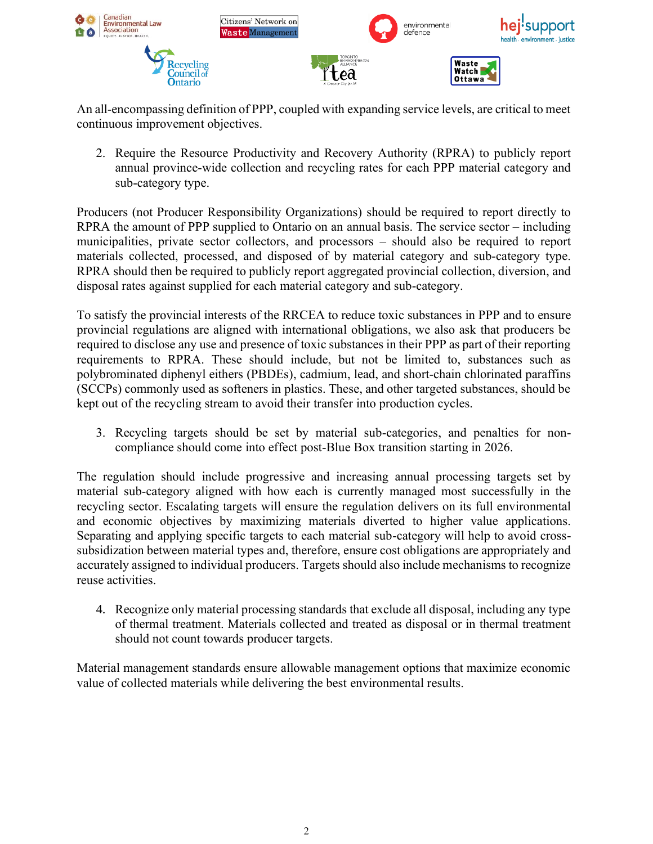

An all-encompassing definition of PPP, coupled with expanding service levels, are critical to meet continuous improvement objectives.

2. Require the Resource Productivity and Recovery Authority (RPRA) to publicly report annual province-wide collection and recycling rates for each PPP material category and sub-category type.

Producers (not Producer Responsibility Organizations) should be required to report directly to RPRA the amount of PPP supplied to Ontario on an annual basis. The service sector – including municipalities, private sector collectors, and processors – should also be required to report materials collected, processed, and disposed of by material category and sub-category type. RPRA should then be required to publicly report aggregated provincial collection, diversion, and disposal rates against supplied for each material category and sub-category.

To satisfy the provincial interests of the RRCEA to reduce toxic substances in PPP and to ensure provincial regulations are aligned with international obligations, we also ask that producers be required to disclose any use and presence of toxic substances in their PPP as part of their reporting requirements to RPRA. These should include, but not be limited to, substances such as polybrominated diphenyl eithers (PBDEs), cadmium, lead, and short-chain chlorinated paraffins (SCCPs) commonly used as softeners in plastics. These, and other targeted substances, should be kept out of the recycling stream to avoid their transfer into production cycles.

3. Recycling targets should be set by material sub-categories, and penalties for noncompliance should come into effect post-Blue Box transition starting in 2026.

The regulation should include progressive and increasing annual processing targets set by material sub-category aligned with how each is currently managed most successfully in the recycling sector. Escalating targets will ensure the regulation delivers on its full environmental and economic objectives by maximizing materials diverted to higher value applications. Separating and applying specific targets to each material sub-category will help to avoid crosssubsidization between material types and, therefore, ensure cost obligations are appropriately and accurately assigned to individual producers. Targets should also include mechanisms to recognize reuse activities.

4. Recognize only material processing standards that exclude all disposal, including any type of thermal treatment. Materials collected and treated as disposal or in thermal treatment should not count towards producer targets.

Material management standards ensure allowable management options that maximize economic value of collected materials while delivering the best environmental results.